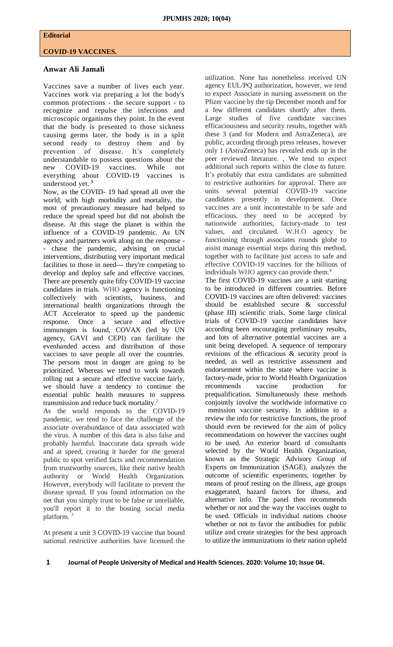## **Editorial**

## **COVID-19 VACCINES.**

## **Anwar Ali Jamali**

Vaccines save a number of lives each year. Vaccines work via preparing a lot the body's common protections - the secure support - to recognize and repulse the infections and microscopic organisms they point. In the event that the body is presented to those sickness causing germs later, the body is in a split second ready to destroy them and by prevention of disease. It's completely understandable to possess questions about the new COVID-19 vaccines. While not everything about COVID-19 vaccines is understood yet. **<sup>1</sup>**

Now, as the COVID- 19 had spread all over the world, with high morbidity and mortality, the most of precautionary measure had helped to reduce the spread speed but did not abolish the disease. At this stage the planet is within the influence of a COVID-19 pandemic. As UN agency and partners work along on the response - - chase the pandemic, advising on crucial interventions, distributing very important medical facilities to those in need--- they're competing to develop and deploy safe and effective vaccines. There are presently quite fifty COVID-19 vaccine candidates in trials. WHO agency is functioning collectively with scientists, business, and international health organizations through the ACT Accelerator to speed up the pandemic response. Once a secure and effective immunogen is found, COVAX (led by UN agency, GAVI and CEPI) can facilitate the evenhanded access and distribution of those vaccines to save people all over the countries. The persons most in danger are going to be prioritized. Whereas we tend to work towards rolling out a secure and effective vaccine fairly, we should have a tendency to continue the essential public health measures to suppress transmission and reduce back mortality. 2

As the world responds to the COVID-19 pandemic, we tend to face the challenge of the associate overabundance of data associated with the virus. A number of this data is also false and probably harmful. Inaccurate data spreads wide and at speed, creating it harder for the general public to spot verified facts and recommendation from trustworthy sources, like their native health authority or World Health Organization. However, everybody will facilitate to prevent the disease spread. If you found information on the net that you simply trust to be false or unreliable, you'll report it to the hosting social media platform.

At present a unit 3 COVID-19 vaccine that bound national restrictive authorities have licensed the

utilization. None has nonetheless received UN agency EUL/PQ authorization, however, we tend to expect Associate in nursing assessment on the Pfizer vaccine by the tip December month and for a few different candidates shortly after them. Large studies of five candidate vaccines efficaciousness and security results, together with these 3 (and for Modern and AstraZeneca), are public, according through press releases, however only 1 (AstraZeneca) has revealed ends up in the peer reviewed literature. , We tend to expect additional such reports within the close to future. It's probably that extra candidates are submitted to restrictive authorities for approval. There are units several potential COVID-19 vaccine candidates presently in development. Once vaccines are a unit incontestable to be safe and efficacious, they need to be accepted by nationwide authorities, factory-made to test values, and circulated. W.H.O agency be functioning through associates rounds globe to assist manage essential steps during this method, together with to facilitate just access to safe and effective COVID-19 vaccines for the billions of individuals WHO agency can provide them.<sup>4</sup> The first COVID-19 vaccines are a unit starting to be introduced in different countries. Before COVID-19 vaccines are often delivered: vaccines should be established secure & successful (phase III) scientific trials. Some large clinical trials of COVID-19 vaccine candidates have according been encouraging preliminary results, and lots of alternative potential vaccines are a unit being developed. A sequence of temporary revisions of the efficacious & security proof is needed, as well as restrictive assessment and endorsement within the state where vaccine is factory-made, prior to World Health Organization recommends vaccine production for prequalification. Simultaneously these methods conjointly involve the worldwide informative co mmission vaccine security. In addition to a review the info for restrictive functions, the proof should even be reviewed for the aim of policy recommendations on however the vaccines ought to be used. An exterior board of consultants selected by the World Health Organization, known as the Strategic Advisory Group of Experts on Immunization (SAGE), analyzes the outcome of scientific experiments, together by means of proof resting on the illness, age groups exaggerated, hazard factors for illness, and alternative info. The panel then recommends whether or not and the way the vaccines ought to be used. Officials in individual nations choose whether or not to favor the antibodies for public utilize and create strategies for the best approach to utilize the immunizations in their nation upheld